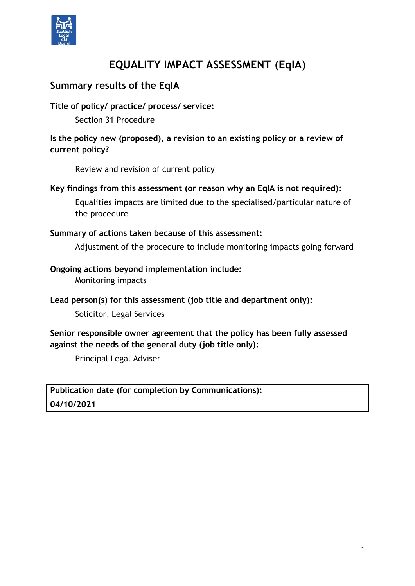

# **EQUALITY IMPACT ASSESSMENT (EqIA)**

## **Summary results of the EqIA**

#### **Title of policy/ practice/ process/ service:**

Section 31 Procedure

**Is the policy new (proposed), a revision to an existing policy or a review of current policy?** 

Review and revision of current policy

#### **Key findings from this assessment (or reason why an EqIA is not required):**

Equalities impacts are limited due to the specialised/particular nature of the procedure

#### **Summary of actions taken because of this assessment:**

Adjustment of the procedure to include monitoring impacts going forward

#### **Ongoing actions beyond implementation include:**

Monitoring impacts

#### **Lead person(s) for this assessment (job title and department only):**

Solicitor, Legal Services

#### **Senior responsible owner agreement that the policy has been fully assessed against the needs of the general duty (job title only):**

Principal Legal Adviser

**Publication date (for completion by Communications): 04/10/2021**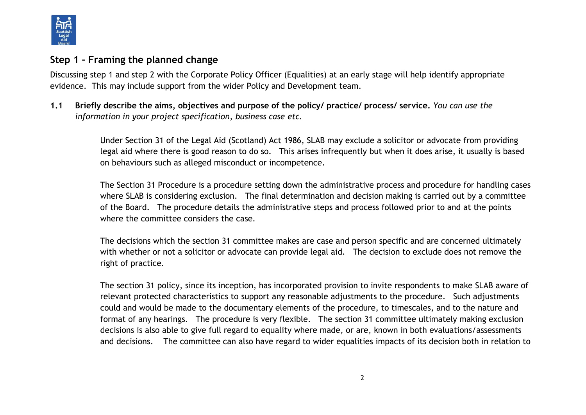

#### **Step 1 – Framing the planned change**

Discussing step 1 and step 2 with the Corporate Policy Officer (Equalities) at an early stage will help identify appropriate evidence. This may include support from the wider Policy and Development team.

**1.1 Briefly describe the aims, objectives and purpose of the policy/ practice/ process/ service.** *You can use the information in your project specification, business case etc.*

> Under Section 31 of the Legal Aid (Scotland) Act 1986, SLAB may exclude a solicitor or advocate from providing legal aid where there is good reason to do so. This arises infrequently but when it does arise, it usually is based on behaviours such as alleged misconduct or incompetence.

The Section 31 Procedure is a procedure setting down the administrative process and procedure for handling cases where SLAB is considering exclusion. The final determination and decision making is carried out by a committee of the Board. The procedure details the administrative steps and process followed prior to and at the points where the committee considers the case.

The decisions which the section 31 committee makes are case and person specific and are concerned ultimately with whether or not a solicitor or advocate can provide legal aid. The decision to exclude does not remove the right of practice.

The section 31 policy, since its inception, has incorporated provision to invite respondents to make SLAB aware of relevant protected characteristics to support any reasonable adjustments to the procedure. Such adjustments could and would be made to the documentary elements of the procedure, to timescales, and to the nature and format of any hearings. The procedure is very flexible. The section 31 committee ultimately making exclusion decisions is also able to give full regard to equality where made, or are, known in both evaluations/assessments and decisions. The committee can also have regard to wider equalities impacts of its decision both in relation to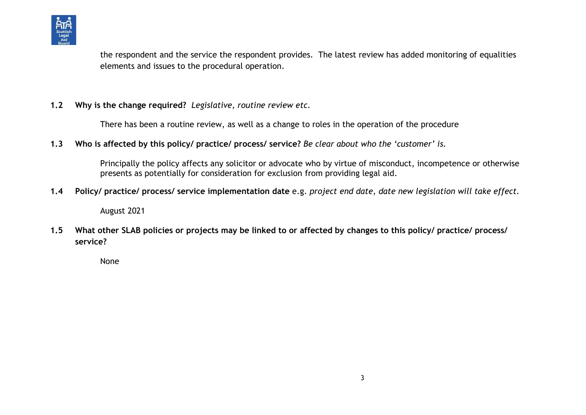

the respondent and the service the respondent provides. The latest review has added monitoring of equalities elements and issues to the procedural operation.

#### **1.2 Why is the change required?** *Legislative, routine review etc.*

There has been a routine review, as well as a change to roles in the operation of the procedure

**1.3 Who is affected by this policy/ practice/ process/ service?** *Be clear about who the 'customer' is.*

Principally the policy affects any solicitor or advocate who by virtue of misconduct, incompetence or otherwise presents as potentially for consideration for exclusion from providing legal aid.

**1.4 Policy/ practice/ process/ service implementation date** e.g. *project end date, date new legislation will take effect.*

August 2021

**1.5 What other SLAB policies or projects may be linked to or affected by changes to this policy/ practice/ process/ service?** 

None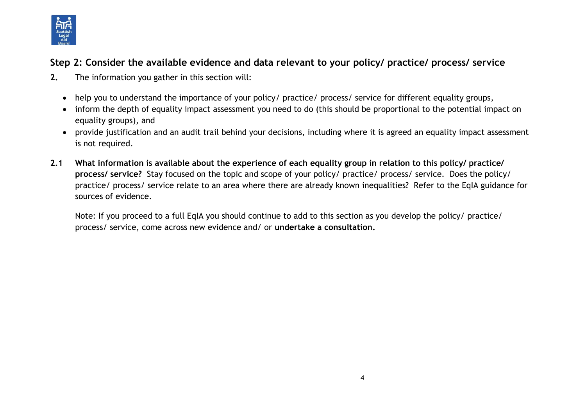

# **Step 2: Consider the available evidence and data relevant to your policy/ practice/ process/ service**

- **2.** The information you gather in this section will:
	- help you to understand the importance of your policy/ practice/ process/ service for different equality groups,
	- inform the depth of equality impact assessment you need to do (this should be proportional to the potential impact on equality groups), and
	- provide justification and an audit trail behind your decisions, including where it is agreed an equality impact assessment is not required.
- **2.1 What information is available about the experience of each equality group in relation to this policy/ practice/ process/ service?** Stay focused on the topic and scope of your policy/ practice/ process/ service. Does the policy/ practice/ process/ service relate to an area where there are already known inequalities? Refer to the EqIA guidance for sources of evidence.

Note: If you proceed to a full EqIA you should continue to add to this section as you develop the policy/ practice/ process/ service, come across new evidence and/ or **undertake a consultation.**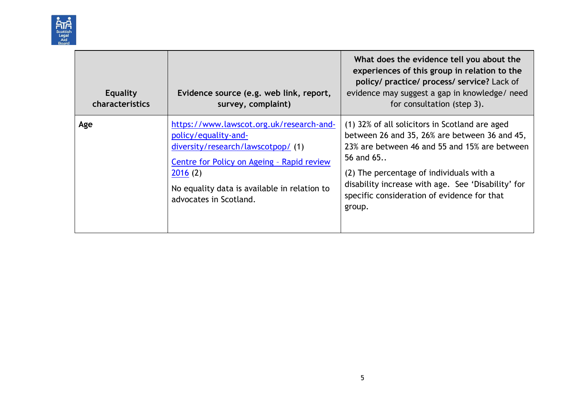

| <b>Equality</b><br>characteristics | Evidence source (e.g. web link, report,<br>survey, complaint)                                                                                                                                                                            | What does the evidence tell you about the<br>experiences of this group in relation to the<br>policy/ practice/ process/ service? Lack of<br>evidence may suggest a gap in knowledge/ need<br>for consultation (step 3).                                                                                                  |
|------------------------------------|------------------------------------------------------------------------------------------------------------------------------------------------------------------------------------------------------------------------------------------|--------------------------------------------------------------------------------------------------------------------------------------------------------------------------------------------------------------------------------------------------------------------------------------------------------------------------|
| Age                                | https://www.lawscot.org.uk/research-and-<br>policy/equality-and-<br>diversity/research/lawscotpop/(1)<br>Centre for Policy on Ageing - Rapid review<br>2016(2)<br>No equality data is available in relation to<br>advocates in Scotland. | (1) 32% of all solicitors in Scotland are aged<br>between 26 and 35, 26% are between 36 and 45,<br>23% are between 46 and 55 and 15% are between<br>56 and 65<br>(2) The percentage of individuals with a<br>disability increase with age. See 'Disability' for<br>specific consideration of evidence for that<br>group. |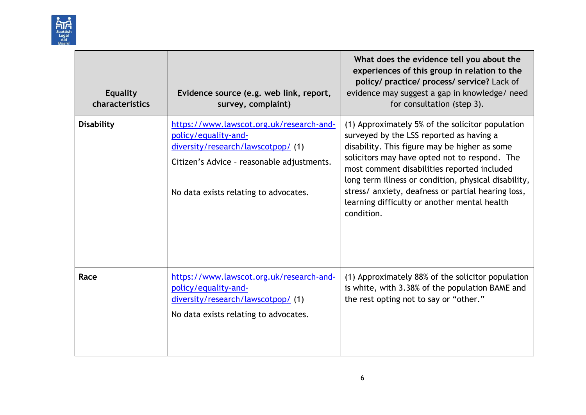

| <b>Equality</b><br>characteristics | Evidence source (e.g. web link, report,<br>survey, complaint)                                                                                                                                 | What does the evidence tell you about the<br>experiences of this group in relation to the<br>policy/ practice/ process/ service? Lack of<br>evidence may suggest a gap in knowledge/ need<br>for consultation (step 3).                                                                                                                                                                                                   |
|------------------------------------|-----------------------------------------------------------------------------------------------------------------------------------------------------------------------------------------------|---------------------------------------------------------------------------------------------------------------------------------------------------------------------------------------------------------------------------------------------------------------------------------------------------------------------------------------------------------------------------------------------------------------------------|
| <b>Disability</b>                  | https://www.lawscot.org.uk/research-and-<br>policy/equality-and-<br>diversity/research/lawscotpop/ (1)<br>Citizen's Advice - reasonable adjustments.<br>No data exists relating to advocates. | (1) Approximately 5% of the solicitor population<br>surveyed by the LSS reported as having a<br>disability. This figure may be higher as some<br>solicitors may have opted not to respond. The<br>most comment disabilities reported included<br>long term illness or condition, physical disability,<br>stress/ anxiety, deafness or partial hearing loss,<br>learning difficulty or another mental health<br>condition. |
| Race                               | https://www.lawscot.org.uk/research-and-<br>policy/equality-and-<br>diversity/research/lawscotpop/ (1)<br>No data exists relating to advocates.                                               | (1) Approximately 88% of the solicitor population<br>is white, with 3.38% of the population BAME and<br>the rest opting not to say or "other."                                                                                                                                                                                                                                                                            |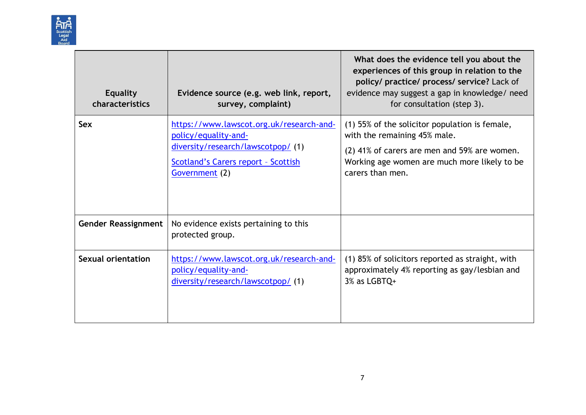

| <b>Equality</b><br>characteristics | Evidence source (e.g. web link, report,<br>survey, complaint)                                                                                                          | What does the evidence tell you about the<br>experiences of this group in relation to the<br>policy/ practice/ process/ service? Lack of<br>evidence may suggest a gap in knowledge/ need<br>for consultation (step 3). |
|------------------------------------|------------------------------------------------------------------------------------------------------------------------------------------------------------------------|-------------------------------------------------------------------------------------------------------------------------------------------------------------------------------------------------------------------------|
| <b>Sex</b>                         | https://www.lawscot.org.uk/research-and-<br>policy/equality-and-<br>diversity/research/lawscotpop/ (1)<br><b>Scotland's Carers report - Scottish</b><br>Government (2) | (1) 55% of the solicitor population is female,<br>with the remaining 45% male.<br>(2) 41% of carers are men and 59% are women.<br>Working age women are much more likely to be<br>carers than men.                      |
| <b>Gender Reassignment</b>         | No evidence exists pertaining to this<br>protected group.                                                                                                              |                                                                                                                                                                                                                         |
| Sexual orientation                 | https://www.lawscot.org.uk/research-and-<br>policy/equality-and-<br>diversity/research/lawscotpop/(1)                                                                  | (1) 85% of solicitors reported as straight, with<br>approximately 4% reporting as gay/lesbian and<br>3% as LGBTQ+                                                                                                       |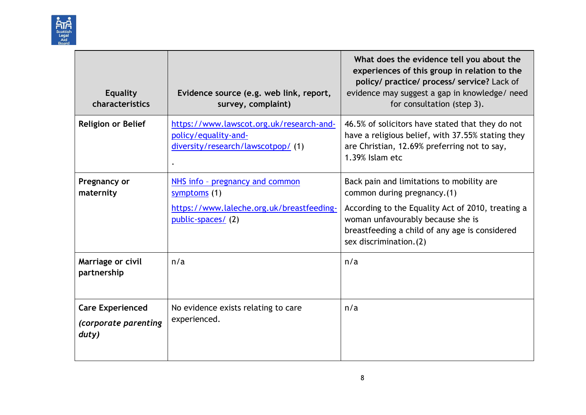

| <b>Equality</b><br>characteristics                       | Evidence source (e.g. web link, report,<br>survey, complaint)                                                     | What does the evidence tell you about the<br>experiences of this group in relation to the<br>policy/ practice/ process/ service? Lack of<br>evidence may suggest a gap in knowledge/ need<br>for consultation (step 3).                          |
|----------------------------------------------------------|-------------------------------------------------------------------------------------------------------------------|--------------------------------------------------------------------------------------------------------------------------------------------------------------------------------------------------------------------------------------------------|
| <b>Religion or Belief</b>                                | https://www.lawscot.org.uk/research-and-<br>policy/equality-and-<br>diversity/research/lawscotpop/ (1)            | 46.5% of solicitors have stated that they do not<br>have a religious belief, with 37.55% stating they<br>are Christian, 12.69% preferring not to say,<br>1.39% Islam etc                                                                         |
| Pregnancy or<br>maternity                                | NHS info - pregnancy and common<br>symptoms (1)<br>https://www.laleche.org.uk/breastfeeding-<br>public-spaces/(2) | Back pain and limitations to mobility are<br>common during pregnancy. (1)<br>According to the Equality Act of 2010, treating a<br>woman unfavourably because she is<br>breastfeeding a child of any age is considered<br>sex discrimination. (2) |
| Marriage or civil<br>partnership                         | n/a                                                                                                               | n/a                                                                                                                                                                                                                                              |
| <b>Care Experienced</b><br>(corporate parenting<br>duty) | No evidence exists relating to care<br>experienced.                                                               | n/a                                                                                                                                                                                                                                              |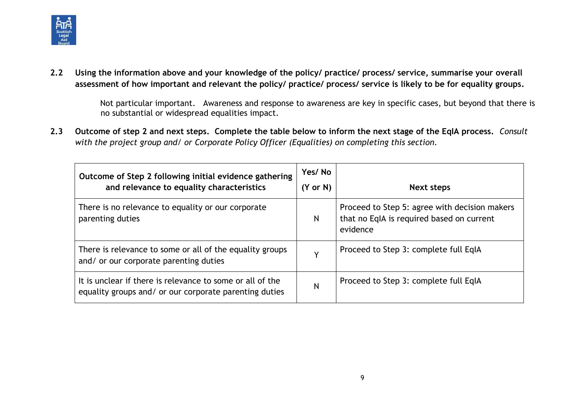

**2.2 Using the information above and your knowledge of the policy/ practice/ process/ service, summarise your overall assessment of how important and relevant the policy/ practice/ process/ service is likely to be for equality groups.**

> Not particular important. Awareness and response to awareness are key in specific cases, but beyond that there is no substantial or widespread equalities impact.

**2.3 Outcome of step 2 and next steps. Complete the table below to inform the next stage of the EqIA process.** *Consult with the project group and/ or Corporate Policy Officer (Equalities) on completing this section.*

| Outcome of Step 2 following initial evidence gathering<br>and relevance to equality characteristics                 | Yes/No<br>$(Y \text{ or } N)$ | <b>Next steps</b>                                                                                      |
|---------------------------------------------------------------------------------------------------------------------|-------------------------------|--------------------------------------------------------------------------------------------------------|
| There is no relevance to equality or our corporate<br>parenting duties                                              | N                             | Proceed to Step 5: agree with decision makers<br>that no EqIA is required based on current<br>evidence |
| There is relevance to some or all of the equality groups<br>and/ or our corporate parenting duties                  | v                             | Proceed to Step 3: complete full EqIA                                                                  |
| It is unclear if there is relevance to some or all of the<br>equality groups and/ or our corporate parenting duties | N                             | Proceed to Step 3: complete full EqIA                                                                  |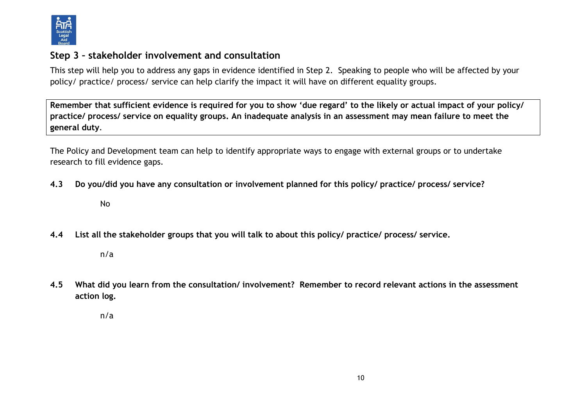

#### **Step 3 – stakeholder involvement and consultation**

This step will help you to address any gaps in evidence identified in Step 2. Speaking to people who will be affected by your policy/ practice/ process/ service can help clarify the impact it will have on different equality groups.

**Remember that sufficient evidence is required for you to show 'due regard' to the likely or actual impact of your policy/ practice/ process/ service on equality groups. An inadequate analysis in an assessment may mean failure to meet the general duty**.

The Policy and Development team can help to identify appropriate ways to engage with external groups or to undertake research to fill evidence gaps.

- **4.3 Do you/did you have any consultation or involvement planned for this policy/ practice/ process/ service?** 
	- No
- **4.4 List all the stakeholder groups that you will talk to about this policy/ practice/ process/ service.**

n/a

**4.5 What did you learn from the consultation/ involvement? Remember to record relevant actions in the assessment action log.**

n/a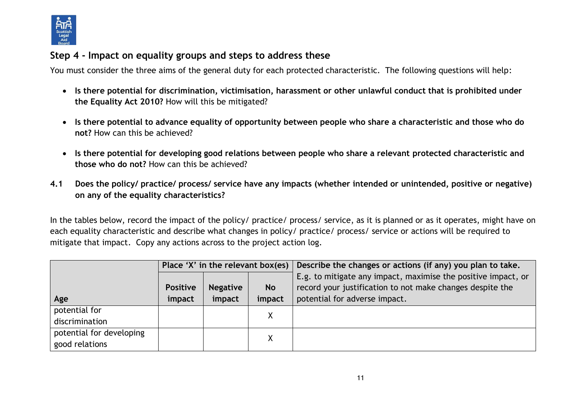

## **Step 4 - Impact on equality groups and steps to address these**

You must consider the three aims of the general duty for each protected characteristic. The following questions will help:

- **Is there potential for discrimination, victimisation, harassment or other unlawful conduct that is prohibited under the Equality Act 2010?** How will this be mitigated?
- **Is there potential to advance equality of opportunity between people who share a characteristic and those who do not?** How can this be achieved?
- **Is there potential for developing good relations between people who share a relevant protected characteristic and those who do not?** How can this be achieved?
- **4.1 Does the policy/ practice/ process/ service have any impacts (whether intended or unintended, positive or negative) on any of the equality characteristics?**

In the tables below, record the impact of the policy/ practice/ process/ service, as it is planned or as it operates, might have on each equality characteristic and describe what changes in policy/ practice/ process/ service or actions will be required to mitigate that impact. Copy any actions across to the project action log.

|                          | Place 'X' in the relevant box(es) $ $ |                 |           | Describe the changes or actions (if any) you plan to take.    |
|--------------------------|---------------------------------------|-----------------|-----------|---------------------------------------------------------------|
|                          |                                       |                 |           | E.g. to mitigate any impact, maximise the positive impact, or |
|                          | <b>Positive</b>                       | <b>Negative</b> | <b>No</b> | record your justification to not make changes despite the     |
| Age                      | impact                                | impact          | impact    | potential for adverse impact.                                 |
| potential for            |                                       |                 | X         |                                                               |
| discrimination           |                                       |                 |           |                                                               |
| potential for developing |                                       |                 | χ         |                                                               |
| good relations           |                                       |                 |           |                                                               |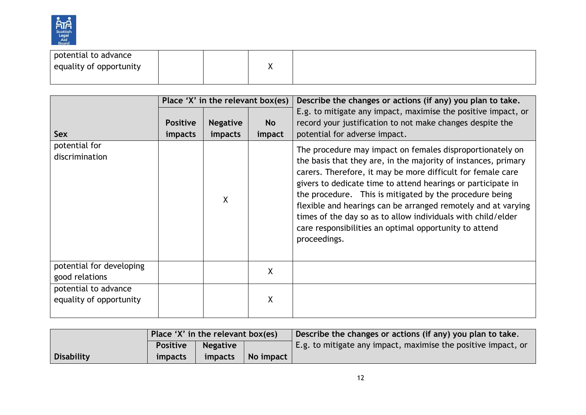

| potential to advance    |  |  |  |
|-------------------------|--|--|--|
| equality of opportunity |  |  |  |
|                         |  |  |  |

|                                                 |                                   | Place 'X' in the relevant box(es) |                     | Describe the changes or actions (if any) you plan to take.                                                                                                                                                                                                                                                                                                                                                                                                                                                                       |  |
|-------------------------------------------------|-----------------------------------|-----------------------------------|---------------------|----------------------------------------------------------------------------------------------------------------------------------------------------------------------------------------------------------------------------------------------------------------------------------------------------------------------------------------------------------------------------------------------------------------------------------------------------------------------------------------------------------------------------------|--|
| Sex                                             | <b>Positive</b><br><i>impacts</i> | <b>Negative</b><br>impacts        | <b>No</b><br>impact | E.g. to mitigate any impact, maximise the positive impact, or<br>record your justification to not make changes despite the<br>potential for adverse impact.                                                                                                                                                                                                                                                                                                                                                                      |  |
| potential for<br>discrimination                 |                                   | X                                 |                     | The procedure may impact on females disproportionately on<br>the basis that they are, in the majority of instances, primary<br>carers. Therefore, it may be more difficult for female care<br>givers to dedicate time to attend hearings or participate in<br>the procedure. This is mitigated by the procedure being<br>flexible and hearings can be arranged remotely and at varying<br>times of the day so as to allow individuals with child/elder<br>care responsibilities an optimal opportunity to attend<br>proceedings. |  |
| potential for developing<br>good relations      |                                   |                                   | X                   |                                                                                                                                                                                                                                                                                                                                                                                                                                                                                                                                  |  |
| potential to advance<br>equality of opportunity |                                   |                                   | X                   |                                                                                                                                                                                                                                                                                                                                                                                                                                                                                                                                  |  |

|                   | Place 'X' in the relevant box(es) |                 |           | Describe the changes or actions (if any) you plan to take.                |
|-------------------|-----------------------------------|-----------------|-----------|---------------------------------------------------------------------------|
|                   | <b>Positive</b>                   | <b>Negative</b> |           | $\mathsf{E}$ .g. to mitigate any impact, maximise the positive impact, or |
| <b>Disability</b> | <i>impacts</i>                    | <i>impacts</i>  | No impact |                                                                           |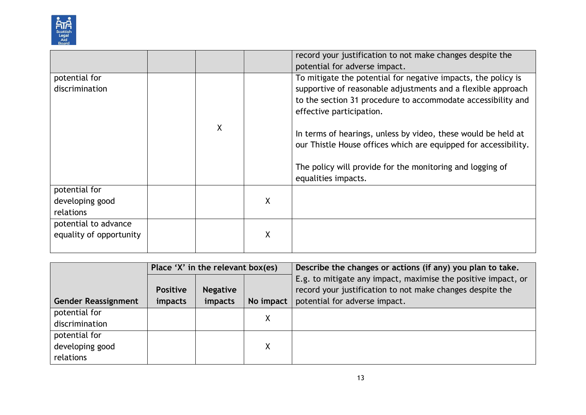

|                                                 |   |   | record your justification to not make changes despite the                                                                                                                                                                                                                                                                                                                                                                                         |
|-------------------------------------------------|---|---|---------------------------------------------------------------------------------------------------------------------------------------------------------------------------------------------------------------------------------------------------------------------------------------------------------------------------------------------------------------------------------------------------------------------------------------------------|
|                                                 |   |   | potential for adverse impact.                                                                                                                                                                                                                                                                                                                                                                                                                     |
| potential for<br>discrimination                 | χ |   | To mitigate the potential for negative impacts, the policy is<br>supportive of reasonable adjustments and a flexible approach<br>to the section 31 procedure to accommodate accessibility and<br>effective participation.<br>In terms of hearings, unless by video, these would be held at<br>our Thistle House offices which are equipped for accessibility.<br>The policy will provide for the monitoring and logging of<br>equalities impacts. |
| potential for<br>developing good<br>relations   |   | X |                                                                                                                                                                                                                                                                                                                                                                                                                                                   |
| potential to advance<br>equality of opportunity |   | Χ |                                                                                                                                                                                                                                                                                                                                                                                                                                                   |

|                            | Place 'X' in the relevant box(es) |                 |           | Describe the changes or actions (if any) you plan to take.                                                                 |  |
|----------------------------|-----------------------------------|-----------------|-----------|----------------------------------------------------------------------------------------------------------------------------|--|
|                            | <b>Positive</b>                   | <b>Negative</b> |           | E.g. to mitigate any impact, maximise the positive impact, or<br>record your justification to not make changes despite the |  |
|                            |                                   |                 |           |                                                                                                                            |  |
| <b>Gender Reassignment</b> | impacts                           | impacts         | No impact | potential for adverse impact.                                                                                              |  |
| potential for              |                                   |                 | Χ         |                                                                                                                            |  |
| discrimination             |                                   |                 |           |                                                                                                                            |  |
| potential for              |                                   |                 |           |                                                                                                                            |  |
| developing good            |                                   |                 | Χ         |                                                                                                                            |  |
| relations                  |                                   |                 |           |                                                                                                                            |  |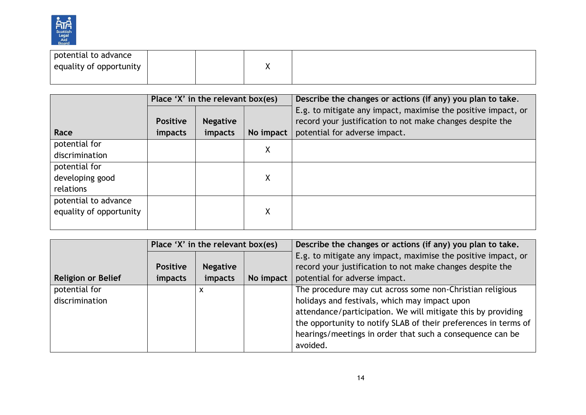

| potential to advance    |  |  |  |
|-------------------------|--|--|--|
| equality of opportunity |  |  |  |
|                         |  |  |  |

|                         | Place 'X' in the relevant box(es) |                 |           | Describe the changes or actions (if any) you plan to take.    |  |
|-------------------------|-----------------------------------|-----------------|-----------|---------------------------------------------------------------|--|
|                         |                                   |                 |           | E.g. to mitigate any impact, maximise the positive impact, or |  |
|                         | <b>Positive</b>                   | <b>Negative</b> |           | record your justification to not make changes despite the     |  |
| Race                    | impacts                           | impacts         | No impact | potential for adverse impact.                                 |  |
| potential for           |                                   |                 | Χ         |                                                               |  |
| discrimination          |                                   |                 |           |                                                               |  |
| potential for           |                                   |                 |           |                                                               |  |
| developing good         |                                   |                 | Χ         |                                                               |  |
| relations               |                                   |                 |           |                                                               |  |
| potential to advance    |                                   |                 |           |                                                               |  |
| equality of opportunity |                                   |                 | Χ         |                                                               |  |
|                         |                                   |                 |           |                                                               |  |

|                           | Place 'X' in the relevant box(es) |                 |           | Describe the changes or actions (if any) you plan to take.      |
|---------------------------|-----------------------------------|-----------------|-----------|-----------------------------------------------------------------|
|                           |                                   |                 |           | E.g. to mitigate any impact, maximise the positive impact, or   |
|                           | <b>Positive</b>                   | <b>Negative</b> |           | record your justification to not make changes despite the       |
| <b>Religion or Belief</b> | impacts                           | impacts         | No impact | potential for adverse impact.                                   |
| potential for             |                                   | X               |           | The procedure may cut across some non-Christian religious       |
| discrimination            |                                   |                 |           | holidays and festivals, which may impact upon                   |
|                           |                                   |                 |           | attendance/participation. We will mitigate this by providing    |
|                           |                                   |                 |           | the opportunity to notify SLAB of their preferences in terms of |
|                           |                                   |                 |           | hearings/meetings in order that such a consequence can be       |
|                           |                                   |                 |           | avoided.                                                        |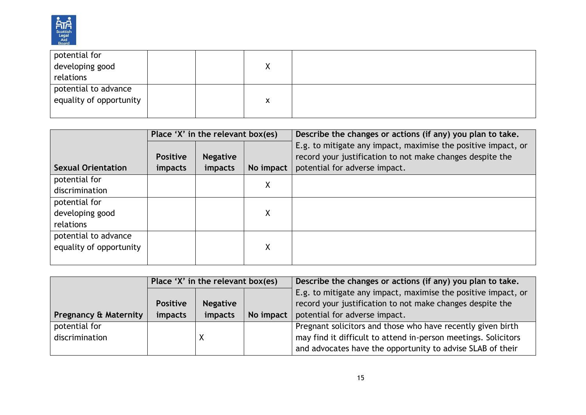

| potential for           |  |   |  |
|-------------------------|--|---|--|
| developing good         |  | Λ |  |
| relations               |  |   |  |
| potential to advance    |  |   |  |
| equality of opportunity |  | X |  |
|                         |  |   |  |

|                           | Place 'X' in the relevant box(es) |                 |           | Describe the changes or actions (if any) you plan to take.    |  |
|---------------------------|-----------------------------------|-----------------|-----------|---------------------------------------------------------------|--|
|                           |                                   |                 |           | E.g. to mitigate any impact, maximise the positive impact, or |  |
|                           | <b>Positive</b>                   | <b>Negative</b> |           | record your justification to not make changes despite the     |  |
| <b>Sexual Orientation</b> | <i>impacts</i>                    | impacts         | No impact | potential for adverse impact.                                 |  |
| potential for             |                                   |                 | χ         |                                                               |  |
| discrimination            |                                   |                 |           |                                                               |  |
| potential for             |                                   |                 |           |                                                               |  |
| developing good           |                                   |                 | Χ         |                                                               |  |
| relations                 |                                   |                 |           |                                                               |  |
| potential to advance      |                                   |                 |           |                                                               |  |
| equality of opportunity   |                                   |                 | χ         |                                                               |  |
|                           |                                   |                 |           |                                                               |  |

|                                  | Place 'X' in the relevant box(es)  |  |           | Describe the changes or actions (if any) you plan to take.     |  |
|----------------------------------|------------------------------------|--|-----------|----------------------------------------------------------------|--|
|                                  |                                    |  |           | E.g. to mitigate any impact, maximise the positive impact, or  |  |
|                                  | <b>Positive</b><br><b>Negative</b> |  |           | record your justification to not make changes despite the      |  |
| <b>Pregnancy &amp; Maternity</b> | impacts<br><i>impacts</i>          |  | No impact | potential for adverse impact.                                  |  |
| potential for                    |                                    |  |           | Pregnant solicitors and those who have recently given birth    |  |
| discrimination                   |                                    |  |           | may find it difficult to attend in-person meetings. Solicitors |  |
|                                  |                                    |  |           | and advocates have the opportunity to advise SLAB of their     |  |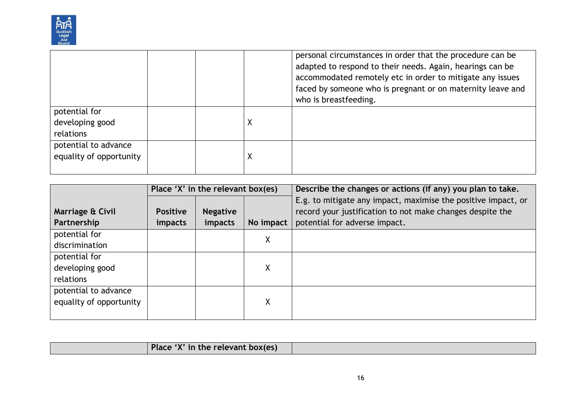

|                                                 |   | personal circumstances in order that the procedure can be<br>adapted to respond to their needs. Again, hearings can be<br>accommodated remotely etc in order to mitigate any issues<br>faced by someone who is pregnant or on maternity leave and<br>who is breastfeeding. |
|-------------------------------------------------|---|----------------------------------------------------------------------------------------------------------------------------------------------------------------------------------------------------------------------------------------------------------------------------|
| potential for<br>developing good<br>relations   | X |                                                                                                                                                                                                                                                                            |
| potential to advance<br>equality of opportunity | Χ |                                                                                                                                                                                                                                                                            |

|                                 | Place 'X' in the relevant box(es) |                            |           | Describe the changes or actions (if any) you plan to take.                                                                                                  |  |
|---------------------------------|-----------------------------------|----------------------------|-----------|-------------------------------------------------------------------------------------------------------------------------------------------------------------|--|
| Marriage & Civil<br>Partnership | <b>Positive</b><br><i>impacts</i> | <b>Negative</b><br>impacts | No impact | E.g. to mitigate any impact, maximise the positive impact, or<br>record your justification to not make changes despite the<br>potential for adverse impact. |  |
| potential for                   |                                   |                            | χ         |                                                                                                                                                             |  |
| discrimination                  |                                   |                            |           |                                                                                                                                                             |  |
| potential for                   |                                   |                            |           |                                                                                                                                                             |  |
| developing good                 |                                   |                            | χ         |                                                                                                                                                             |  |
| relations                       |                                   |                            |           |                                                                                                                                                             |  |
| potential to advance            |                                   |                            |           |                                                                                                                                                             |  |
| equality of opportunity         |                                   |                            | χ         |                                                                                                                                                             |  |
|                                 |                                   |                            |           |                                                                                                                                                             |  |

| Place 'X' in the relevant box(es) |  |
|-----------------------------------|--|
|                                   |  |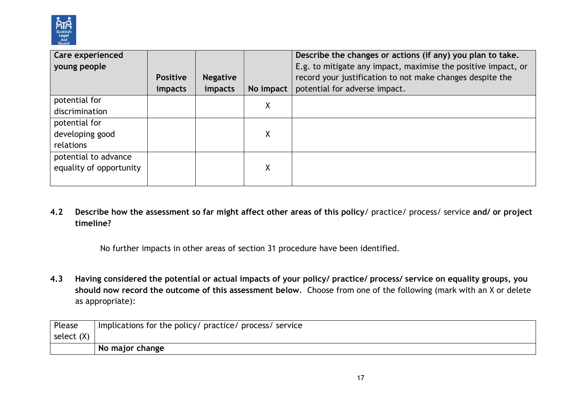

| Care experienced        |                 |                 |           | Describe the changes or actions (if any) you plan to take.    |
|-------------------------|-----------------|-----------------|-----------|---------------------------------------------------------------|
| young people            |                 |                 |           | E.g. to mitigate any impact, maximise the positive impact, or |
|                         | <b>Positive</b> | <b>Negative</b> |           | record your justification to not make changes despite the     |
|                         | <i>impacts</i>  | impacts         | No impact | potential for adverse impact.                                 |
| potential for           |                 |                 | χ         |                                                               |
| discrimination          |                 |                 |           |                                                               |
| potential for           |                 |                 |           |                                                               |
| developing good         |                 |                 | χ         |                                                               |
| relations               |                 |                 |           |                                                               |
| potential to advance    |                 |                 |           |                                                               |
| equality of opportunity |                 |                 | X         |                                                               |
|                         |                 |                 |           |                                                               |

**4.2 Describe how the assessment so far might affect other areas of this policy**/ practice/ process/ service **and/ or project timeline?** 

No further impacts in other areas of section 31 procedure have been identified.

**4.3 Having considered the potential or actual impacts of your policy/ practice/ process/ service on equality groups, you should now record the outcome of this assessment below**. Choose from one of the following (mark with an X or delete as appropriate):

| Please     | Implications for the policy/ practice/ process/ service |
|------------|---------------------------------------------------------|
| select (X) |                                                         |
|            | No major change                                         |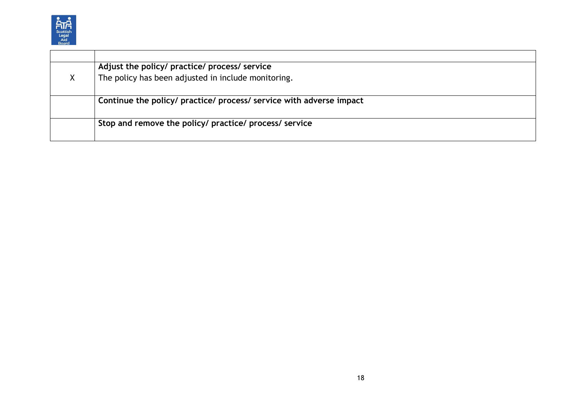

| X | Adjust the policy/ practice/ process/ service<br>The policy has been adjusted in include monitoring. |
|---|------------------------------------------------------------------------------------------------------|
|   | Continue the policy/ practice/ process/ service with adverse impact                                  |
|   | Stop and remove the policy/ practice/ process/ service                                               |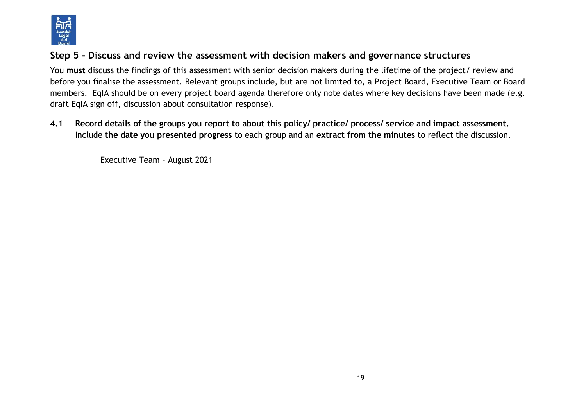

## **Step 5 - Discuss and review the assessment with decision makers and governance structures**

You **must** discuss the findings of this assessment with senior decision makers during the lifetime of the project/ review and before you finalise the assessment. Relevant groups include, but are not limited to, a Project Board, Executive Team or Board members. EqIA should be on every project board agenda therefore only note dates where key decisions have been made (e.g. draft EqIA sign off, discussion about consultation response).

**4.1 Record details of the groups you report to about this policy/ practice/ process/ service and impact assessment.**  Include t**he date you presented progress** to each group and an **extract from the minutes** to reflect the discussion.

Executive Team – August 2021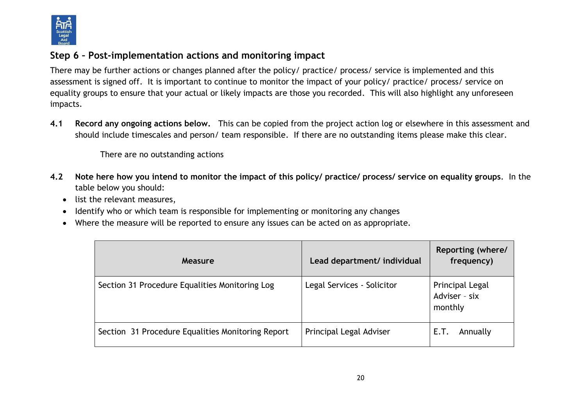

## **Step 6 – Post-implementation actions and monitoring impact**

There may be further actions or changes planned after the policy/ practice/ process/ service is implemented and this assessment is signed off. It is important to continue to monitor the impact of your policy/ practice/ process/ service on equality groups to ensure that your actual or likely impacts are those you recorded. This will also highlight any unforeseen impacts.

**4.1 Record any ongoing actions below.** This can be copied from the project action log or elsewhere in this assessment and should include timescales and person/ team responsible.If there are no outstanding items please make this clear.

There are no outstanding actions

- **4.2 Note here how you intend to monitor the impact of this policy/ practice/ process/ service on equality groups**. In the table below you should:
	- list the relevant measures,
	- Identify who or which team is responsible for implementing or monitoring any changes
	- Where the measure will be reported to ensure any issues can be acted on as appropriate.

| Measure                                           | Lead department/ individual | Reporting (where/<br>frequency)             |
|---------------------------------------------------|-----------------------------|---------------------------------------------|
| Section 31 Procedure Equalities Monitoring Log    | Legal Services - Solicitor  | Principal Legal<br>Adviser - six<br>monthly |
| Section 31 Procedure Equalities Monitoring Report | Principal Legal Adviser     | Annually<br>E.T.                            |